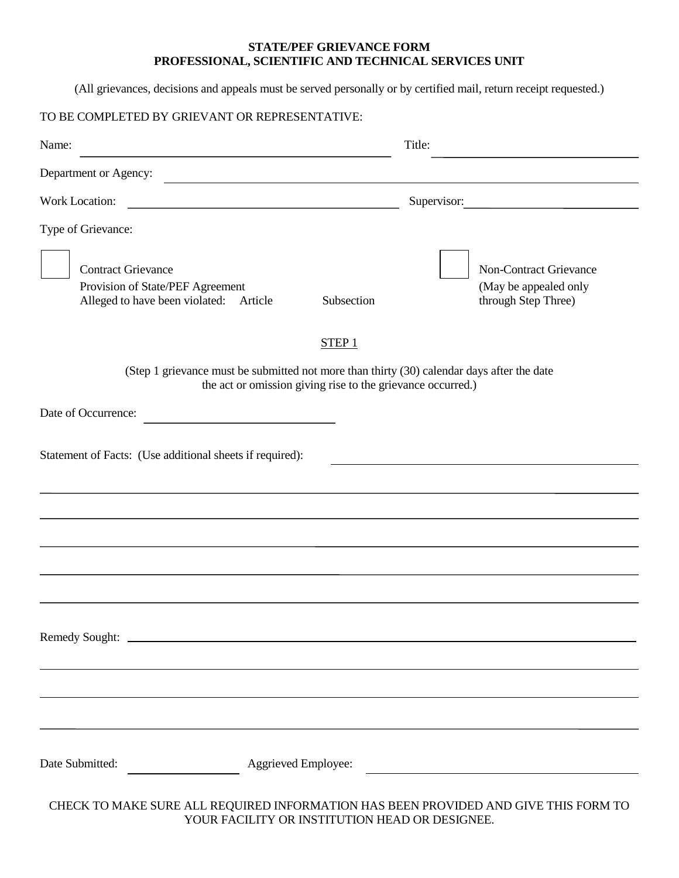## **STATE/PEF GRIEVANCE FORM PROFESSIONAL, SCIENTIFIC AND TECHNICAL SERVICES UNIT**

(All grievances, decisions and appeals must be served personally or by certified mail, return receipt requested.)

| TO BE COMPLETED BY GRIEVANT OR REPRESENTATIVE:                                                                                          |                                                             |                                                                               |
|-----------------------------------------------------------------------------------------------------------------------------------------|-------------------------------------------------------------|-------------------------------------------------------------------------------|
| Name:<br><u> 1980 - Johann Barn, mars ann an t-Amhain Aonaich an t-Aonaich an t-Aonaich ann an t-Aonaich ann an t-Aonaich</u>           | Title:                                                      |                                                                               |
| Department or Agency:                                                                                                                   |                                                             |                                                                               |
| Work Location:<br><u> 1989 - Johann Stoff, deutscher Stoff, der Stoff, der Stoff, der Stoff, der Stoff, der Stoff, der Stoff, der S</u> |                                                             | Supervisor:                                                                   |
| Type of Grievance:                                                                                                                      |                                                             |                                                                               |
| <b>Contract Grievance</b><br>Provision of State/PEF Agreement<br>Alleged to have been violated: Article                                 | Subsection                                                  | <b>Non-Contract Grievance</b><br>(May be appealed only<br>through Step Three) |
|                                                                                                                                         | STEP1                                                       |                                                                               |
| (Step 1 grievance must be submitted not more than thirty (30) calendar days after the date                                              | the act or omission giving rise to the grievance occurred.) |                                                                               |
| Date of Occurrence:                                                                                                                     |                                                             |                                                                               |
| Statement of Facts: (Use additional sheets if required):                                                                                |                                                             |                                                                               |
|                                                                                                                                         |                                                             |                                                                               |
|                                                                                                                                         |                                                             |                                                                               |
|                                                                                                                                         |                                                             |                                                                               |
|                                                                                                                                         |                                                             |                                                                               |
|                                                                                                                                         |                                                             |                                                                               |
| Date Submitted:<br>Aggrieved Employee:                                                                                                  |                                                             |                                                                               |
| CHECK TO MAKE SURE ALL REQUIRED INFORMATION HAS BEEN PROVIDED AND GIVE THIS FORM TO                                                     | YOUR FACILITY OR INSTITUTION HEAD OR DESIGNEE.              |                                                                               |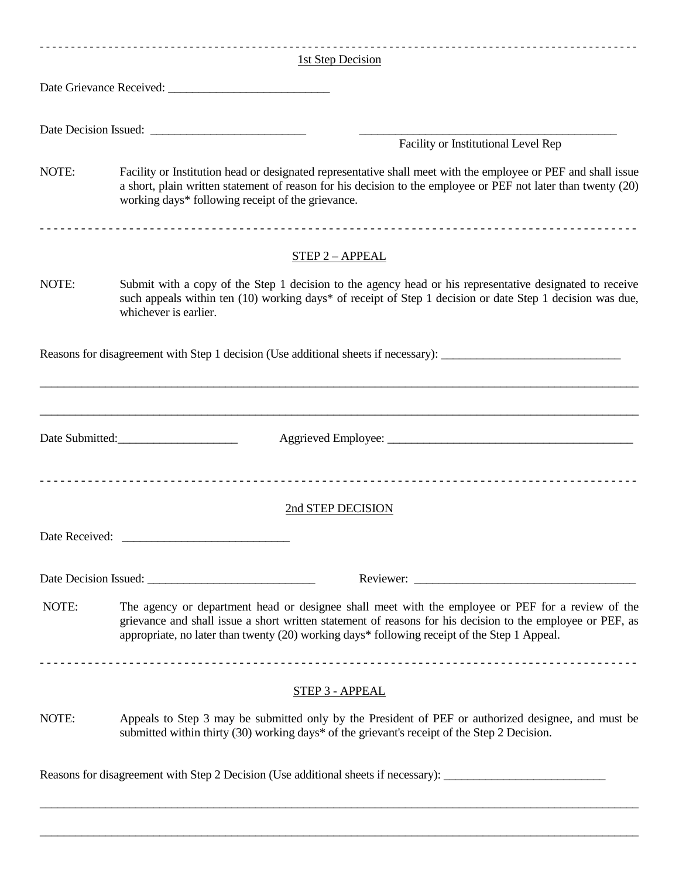|                | 1st Step Decision                                                                                                                                                                                                                                                                                               |
|----------------|-----------------------------------------------------------------------------------------------------------------------------------------------------------------------------------------------------------------------------------------------------------------------------------------------------------------|
|                |                                                                                                                                                                                                                                                                                                                 |
|                |                                                                                                                                                                                                                                                                                                                 |
|                | Facility or Institutional Level Rep                                                                                                                                                                                                                                                                             |
| NOTE:          | Facility or Institution head or designated representative shall meet with the employee or PEF and shall issue<br>a short, plain written statement of reason for his decision to the employee or PEF not later than twenty (20)<br>working days* following receipt of the grievance.                             |
|                | <b>STEP 2-APPEAL</b>                                                                                                                                                                                                                                                                                            |
| NOTE:          | Submit with a copy of the Step 1 decision to the agency head or his representative designated to receive<br>such appeals within ten (10) working days* of receipt of Step 1 decision or date Step 1 decision was due,<br>whichever is earlier.                                                                  |
|                | Reasons for disagreement with Step 1 decision (Use additional sheets if necessary): __________________________<br><u> 1989 - John Stoff, deutscher Stoff, der Stoff, der Stoff, der Stoff, der Stoff, der Stoff, der Stoff, der Sto</u>                                                                         |
|                | Date Submitted:                                                                                                                                                                                                                                                                                                 |
|                | 2nd STEP DECISION                                                                                                                                                                                                                                                                                               |
| Date Received: |                                                                                                                                                                                                                                                                                                                 |
|                |                                                                                                                                                                                                                                                                                                                 |
| NOTE:          | The agency or department head or designee shall meet with the employee or PEF for a review of the<br>grievance and shall issue a short written statement of reasons for his decision to the employee or PEF, as<br>appropriate, no later than twenty (20) working days* following receipt of the Step 1 Appeal. |
|                | <b>STEP 3 - APPEAL</b>                                                                                                                                                                                                                                                                                          |
| NOTE:          | Appeals to Step 3 may be submitted only by the President of PEF or authorized designee, and must be<br>submitted within thirty (30) working days* of the grievant's receipt of the Step 2 Decision.                                                                                                             |
|                | Reasons for disagreement with Step 2 Decision (Use additional sheets if necessary): _______________                                                                                                                                                                                                             |

 $\_$  , and the set of the set of the set of the set of the set of the set of the set of the set of the set of the set of the set of the set of the set of the set of the set of the set of the set of the set of the set of th

 $\_$  , and the set of the set of the set of the set of the set of the set of the set of the set of the set of the set of the set of the set of the set of the set of the set of the set of the set of the set of the set of th